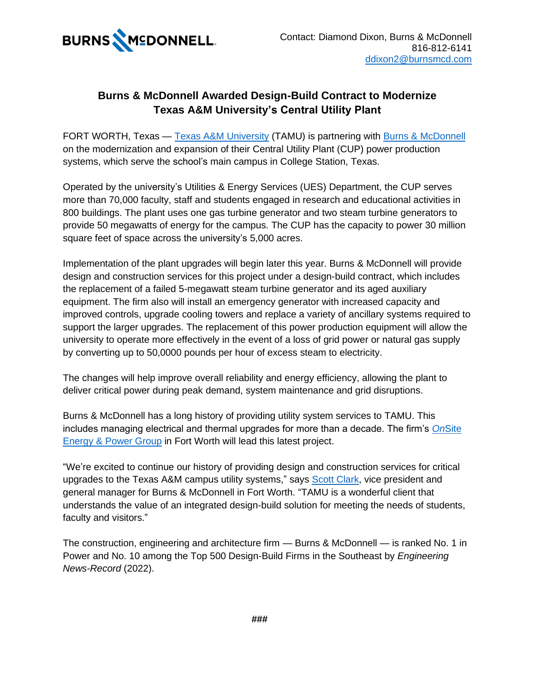

## **Burns & McDonnell Awarded Design-Build Contract to Modernize Texas A&M University's Central Utility Plant**

FORT WORTH, Texas — [Texas A&M University](https://www.tamu.edu/) (TAMU) is partnering with [Burns & McDonnell](https://hubs.li/Q01f0tkK0) on the modernization and expansion of their Central Utility Plant (CUP) power production systems, which serve the school's main campus in College Station, Texas.

Operated by the university's Utilities & Energy Services (UES) Department, the CUP serves more than 70,000 faculty, staff and students engaged in research and educational activities in 800 buildings. The plant uses one gas turbine generator and two steam turbine generators to provide 50 megawatts of energy for the campus. The CUP has the capacity to power 30 million square feet of space across the university's 5,000 acres.

Implementation of the plant upgrades will begin later this year. Burns & McDonnell will provide design and construction services for this project under a design-build contract, which includes the replacement of a failed 5-megawatt steam turbine generator and its aged auxiliary equipment. The firm also will install an emergency generator with increased capacity and improved controls, upgrade cooling towers and replace a variety of ancillary systems required to support the larger upgrades. The replacement of this power production equipment will allow the university to operate more effectively in the event of a loss of grid power or natural gas supply by converting up to 50,0000 pounds per hour of excess steam to electricity.

The changes will help improve overall reliability and energy efficiency, allowing the plant to deliver critical power during peak demand, system maintenance and grid disruptions.

Burns & McDonnell has a long history of providing utility system services to TAMU. This includes managing electrical and thermal upgrades for more than a decade. The firm's *On*[Site](https://hubs.li/Q01f0sff0)  [Energy & Power Group](https://hubs.li/Q01f0sff0) in Fort Worth will lead this latest project.

"We're excited to continue our history of providing design and construction services for critical upgrades to the Texas A&M campus utility systems," says [Scott Clark,](https://www.linkedin.com/in/spclarkbmcd/) vice president and general manager for Burns & McDonnell in Fort Worth. "TAMU is a wonderful client that understands the value of an integrated design-build solution for meeting the needs of students, faculty and visitors."

The construction, engineering and architecture firm — Burns & McDonnell — is ranked No. 1 in Power and No. 10 among the Top 500 Design-Build Firms in the Southeast by *Engineering News-Record* (2022).